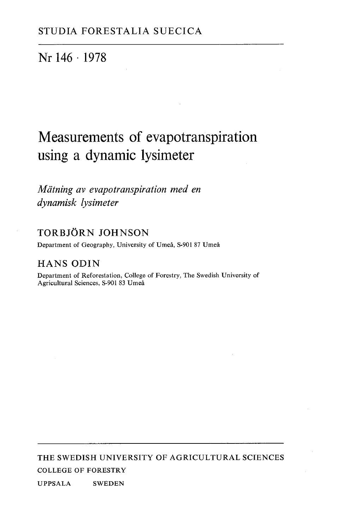# Nr 146 · 1978

# Measurements of evapotranspiration using a dynamic lysimeter

*Matning av evapotranspiration med en dynamisk lysimeter* 

### TORBJORN JOHNSON

Department of Geography, University of Umeå, S-901 87 Umeå

### HANS ODIN

Department of Reforestation, College of Forestry, The Swedish University of Agricultural Sciences, S-901 83 Umeå

THE SWEDISH UNIVERSITY OF AGRICULTURAL SCIENCES COLLEGE OF FORESTRY

UPPSALA SWEDEN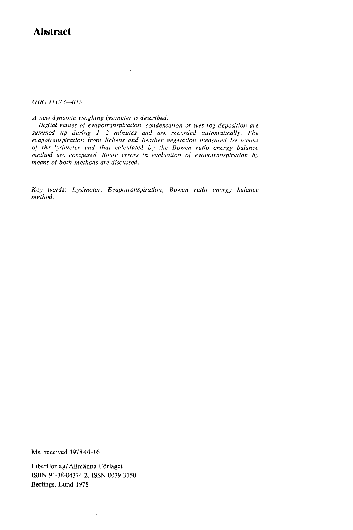### **Abstract**

**ODC** 111.73-015

*A new dynamic weighing lysimeter is described.* 

*Digital values of evapotranspiration, condensation or wet fog deposition are*  summed up during  $1-2$  minutes and are recorded automatically. The *evapotranspiration from lichens and heather vegetation measured by means of the lysimeter and that calculated by the Bowen ratio energy balance method are compared. Some errors in evaluation of evapotranspiration by means of both methods are discussed.* 

 $\bar{\gamma}$ 

*Key words: Lysimeter, Evapotranspiration, Bowen ratio energy balance method.* 

**Ms. received 1978-01-16** 

**LiberForlag/Allmanna Forlaget ISBN 91-38-04374-2, ISSN 0039-3150 Berlings, Lund 1978**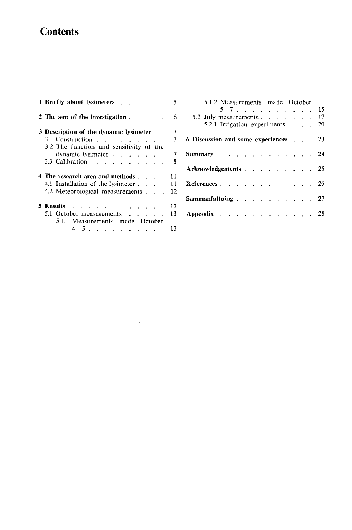# **Contents**

| 1 Briefly about lysimeters                  | 5   |
|---------------------------------------------|-----|
| 2 The aim of the investigation              | 6   |
| 3 Description of the dynamic lysimeter      | 7   |
| 3.1 Construction $\cdots$ $\cdots$ $\cdots$ | 7   |
| 3.2 The function and sensitivity of the     |     |
| dynamic lysimeter                           | - 7 |
| 3.3 Calibration                             | 8   |
| 4 The research area and methods             | 11. |
| 4.1 Installation of the lysimeter           | 11  |
| 4.2 Meteorological measurements             | 12  |
| 5 Results                                   | 13  |
| 5.1 October measurements                    | 13  |
| 5.1.1 Measurements made October             |     |
| $4 - 5$                                     | 13. |

 $\mathcal{L}^{\text{max}}_{\text{max}}$  and  $\mathcal{L}^{\text{max}}_{\text{max}}$ 

| 5.1.2 Measurements made October                                  |  |  |  |  |  |  |          |
|------------------------------------------------------------------|--|--|--|--|--|--|----------|
|                                                                  |  |  |  |  |  |  | $5-7$ 15 |
| 5.2 July measurements 17                                         |  |  |  |  |  |  |          |
| 5.2.1 Irrigation experiments 20                                  |  |  |  |  |  |  |          |
| 6 Discussion and some experiences 23                             |  |  |  |  |  |  |          |
| Summary $\cdots$ $\cdots$ $\cdots$ $\cdots$ $\cdots$ $\cdots$ 24 |  |  |  |  |  |  |          |
| Acknowledgements 25                                              |  |  |  |  |  |  |          |
| <b>References</b> 26                                             |  |  |  |  |  |  |          |
| Sammanfattning $\ldots$ $\ldots$ $\ldots$ $\ldots$ $\ldots$ 27   |  |  |  |  |  |  |          |
| <b>Appendix</b> 28                                               |  |  |  |  |  |  |          |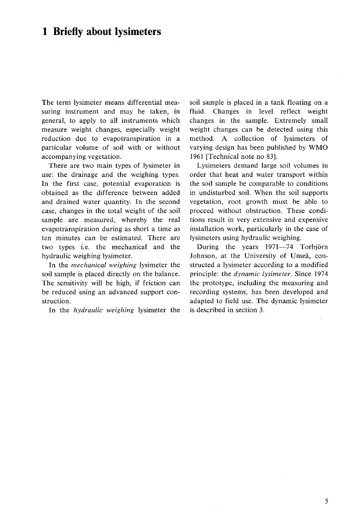### **1 Briefly about lysimeters**

The term lysimeter means differential measuring instrument and may be taken, in general, to apply to all instruments which measure weight changes, especially weight reduction due to evapotranspiration in a particular volume of soil with or without accompanying vegetation.

There are two main types of lysimeter in use: the drainage and the weighing types. In the first case, potential evaporation is obtained as the difference between added and drained water quantity. In the second case, changes in the total weight of the soil sample are measured, whereby the real evapotranspiration during as short a time as ten minutes can be estimated. There are two types i.e. the mechanical and the hydraulic weighing lysimeter.

In the *mechanical weighing* lysimeter the soil sample is placed directly on the balance. The sensitivity will be high, if friction can be reduced using an advanced support construction.

In the *hydraulic weighing* lysimeter the

soil sample is placed in a tank floating on a fluid. Changes in level reflect weight changes in the sample. Extremely small weight changes can be detected using this method. A collection of lysimeters of varying design has been published by WMO 1961 [Technical note no 831.

Lysimeters demand large soil volumes in order that heat and water transport within the soil sample be comparable to conditions in undisturbed soil. When the soil supports vegetation, root growth must be able to proceed without obstruction. These conditions result in very extensive and expensive installation work, particularly in the case of lysimeters using hydraulic weighing.

During the years 1971-74 Torbjörn Johnson, at the University of Umeå, constructed a lysimeter according to a modified principle: the *dynamic lysimeter.* Since 1974 the prototype, including the measuring and recording systems, has been developed and adapted to field use. The dynamic lysimeter is described in section **3.**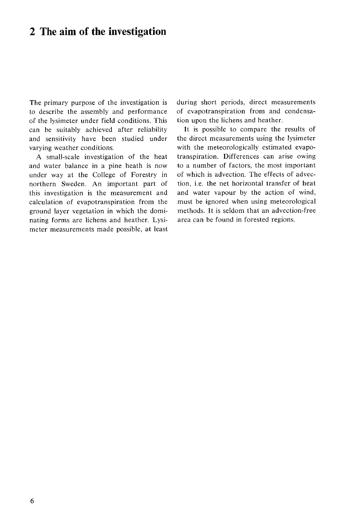### **2 The aim of the investigation**

The primary purpose of the investigation is to describe the assembly and performance of the lysimeter under field conditions. This can be suitably achieved after reliability and sensitivity have been studied under varying weather conditions.

A small-scale investigation of the heat and water balance in a pine heath is now under way at the College of Forestry in northern Sweden. An important part of this investigation is the measurement and calculation of evapotranspiration from the ground layer vegetation in which the dominating forms are lichens and heather. Lysimeter measurements made possible, at least during short periods, direct measurements of evapotranspiration from and condensation upon the lichens and heather.

It is possible to compare the results of the direct measurements using the lysimeter with the meteorologically estimated evapotranspiration. Differences can arise owing to a number of factors, the most important of which is advection. The effects of advection, i.e. the net horizontal transfer of heat and water vapour by the action of wind, must be ignored when using meteorological methods. It is seldom that an advection-free area can be found in forested regions.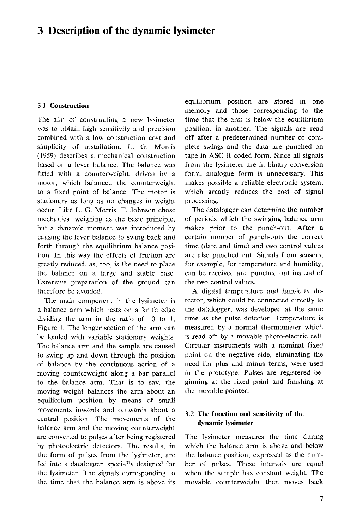### **3 Description of the dynamic lysimeter**

#### **3.1 Construction**

The aim of constructing a new lysimeter was to obtain high sensitivity and precision combined with a low construction cost and simplicity of installation. L. G. Morris (1959) describes a mechanical construction based on a lever balance. The balance was fitted with a counterweight, driven by a motor, which balanced the counterweight to a fixed point of balance. The motor is stationary as long as no changes in weight occur. Like L. G. Morris, T. Johnson chose mechanical weighing as the basic principle, but a dynamic moment was introduced by causing the lever balance to swing back and forth through the equilibrium balance position. In this way the effects of friction are greatly reduced, as, too, is the need to place the balance on a large and stable base. Extensive preparation of the ground can therefore be avoided.

The main component in the lysimeter is a balance arm which rests on a knife edge dividing the arm in the ratio of 10 to 1, Figure 1. The longer section of the arm can be loaded with variable stationary weights. The balance arm and the sample are caused to swing up and down through the position of balance by the continuous action of a moving counterweight along a bar parallel to the balance arm. That is to say, the moving weight balances the arm about an equilibrium position by means of small movements inwards and outwards about a central position. The movements of the balance arm and the moving counterweight are converted to pulses after being registered by photoelectric detectors. The results, in the form of pulses from the lysimeter, are fed into a datalogger, specially designed for the lysimeter. The signals corresponding to the time that the balance arm is above its

equilibrium position are stored in one memory and those corresponding to the time that the arm is below the equilibrium position, in another. The signals are read off after a predetermined number of complete swings and the data axe punched on tape in ASC I1 coded form. Since all signals from the lysimeter are in binary conversion form, analogue form is unnecessary. This makes possible a reliable electronic system, which greatly reduces the cost of signal processing.

The datalogger can determine the number of periods which the swinging balance arm makes prior to the punch-out. After a certain number of punch-outs the correct time (date and time) and two control values are also punched out. Signals from sensors, for example, for temperature and humidity, can be received and punched out instead of the two control values.

A digital temperature and humidity detector, which could be connected directly to the datalogger, was developed at the same time as the pulse detector. Temperature is measured by a normal thermometer which is read off by a movable photo-electric cell. Circular instruments with a nominal fixed point on the negative side, eliminating the need for plus and minus terms, were used in the prototype. Pulses are registered beginning at the fixed point and finishing at the movable pointer.

### **3.2 The function and sensitivity of the dynamic lysimeter**

The lysimeter measures the time during which the balance arm is above and below the balance position, expressed as the number of pulses. These intervals are equal when the sample has constant weight. The movable counterweight then moves back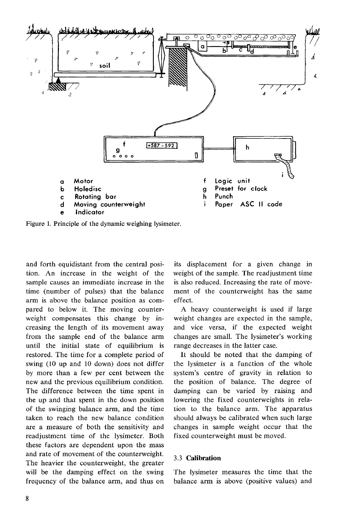

Figure 1. Principle of the dynamic weighing lysimeter.

and forth equidistant from the central position. An increase in the weight of the sample causes an immediate increase in the time (number of pulses) that the balance arm is above the balance position as compared to below it. The moving counterweight compensates this change by increasing the length of its movement away from the sample end of the balance arm until the initial state of equilibrium is restored. The time for a complete period of swing (10 up and 10 down) does not differ by more than a few per cent between the new and the previous equilibrium condition. The difference between the time spent in the up and that spent in the down position of the swinging balance arm, and the time taken to reach the new balance condition are a measure of both the sensitivity and readjustment time of the lysimeter. Both these factors are dependent upon the mass and rate of movement of the counterweight. The heavier the counterweight, the greater will be the damping effect on the swing frequency of the balance arm, and thus on

its displacement for a given change in weight of the sample. The readjustment time is also reduced. Increasing the rate of movement of the counterweight has the same effect.

A heavy counterweight is used if large weight changes are expected in the sample, and vice versa, if the expected weight changes are small. The lysimeter's working range decreases in the latter case.

It should be noted that the damping of the lysimeker is a function of the whole system's centre of gravity in relation to the position of balance. The degree of damping can be varied by raising and lowering the fixed counterweights in relation to the balance arm. The apparatus should always be calibrated when such large changes in sample weight occur that the fixed counterweight must be moved.

#### 3.3 **Calibration**

The lysimeter measures the time that the balance arm is above (positive values) and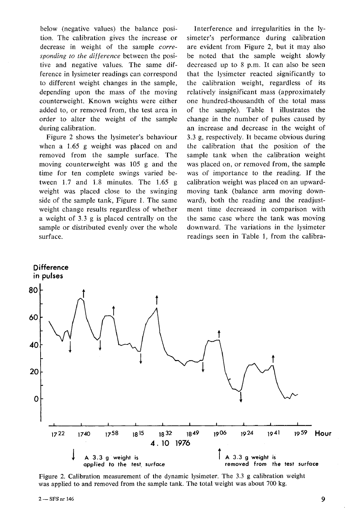below (negative values) the balance position. The calibration gives the increase or decrease in weight of the sample *corresponding to the difference* between the positive and negative values. The same difference in lysimeter readings can correspond to different weight changes in the sample, depending upon the mass of the moving counterweight. Known weights were either added to, or removed from, the test area in order to alter the weight of the sample during calibration.

Figure 2 shows the lysimeter's behaviour when a 1.65 g weight was placed on and removed from the sample surface. The moving counterweight was 105 g and the time for ten complete swings varied between 1.7 and 1.8 minutes. The 1.65 g weight was placed close to the swinging side of the sample tank, Figure I. The same weight change results regardless of whether a weight of 3.3 g is placed centrally on the sample or distributed evenly over the whole surface.

Interference and irregularities in the lysimeter's performance during calibration are evident from Figure 2, but it may also be noted that the sample weight slowly decreased up to 8 p.m. It can also be seen that the lysimeter reacted significantly to the calibration weight, regardless of its relatively insignificant mass (approximately one hundred-thousandth of the total mass of the sample). Table 1 illustrates the change in the number of pulses caused by an increase and decrease in the weight of 3.3 g, respectively. It became obvious during the calibration that the position of the sample tank when the calibration weight was placed on, or removed from, the sample was of importance to the reading. If the calibration weight was placed on an upwardmoving tank (balance arm moving downward), both the reading and the readjustment time decreased in comparison with the same case where the tank was moving downward. The variations in the lysimeter readings seen in Table 1, from the calibra-



Figure 2. Calibration measurement of the dynamic lysimeter. The **3.3** g calibration weight was applied to and removed from the sample tank. The total weight was about 700 kg.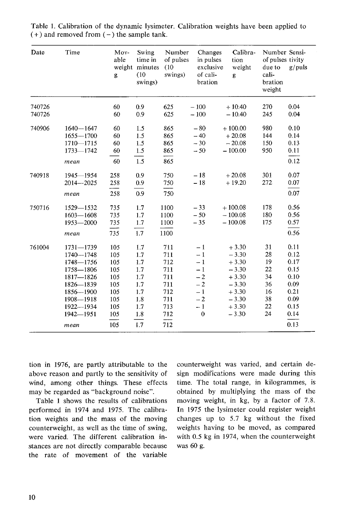| Date   | Time                       | Mov-<br>able<br>weight<br>g | Swing<br>time in<br>minutes<br>(10)<br>swings) | Number<br>of pulses<br>(10)<br>swings) | Changes<br>in pulses<br>exclusive<br>of cali-<br>bration | Calibra-<br>tion<br>weight<br>g | Number Sensi-<br>of pulses tivity<br>due to<br>cali-<br>bration<br>weight | $g$ /puls    |  |
|--------|----------------------------|-----------------------------|------------------------------------------------|----------------------------------------|----------------------------------------------------------|---------------------------------|---------------------------------------------------------------------------|--------------|--|
| 740726 |                            | 60                          | 0.9                                            | 625                                    | $-100$                                                   | $+10.40$                        | 270                                                                       | 0.04         |  |
| 740726 |                            | 60                          | 0.9                                            | 625                                    | $-100$                                                   | $-10.40$                        | 245                                                                       | 0.04         |  |
| 740906 | $1640 - 1647$              | 60                          | 1.5                                            | 865                                    | $-80$                                                    | $+100.00$                       | 980                                                                       | 0.10         |  |
|        | $1655 - 1700$              | 60                          | 1.5                                            | 865                                    | $-40$                                                    | $+20.08$                        | 144                                                                       | 0.14         |  |
|        | 1710-1715<br>$1733 - 1742$ | 60<br>60                    | 1.5<br>$1.5\,$                                 | 865<br>865                             | $-30$<br>$-50$                                           | $-20.08$<br>$-100.00$           | 150<br>950                                                                | 0.13<br>0.11 |  |
|        |                            |                             |                                                |                                        |                                                          |                                 |                                                                           |              |  |
|        | mean                       | 60                          | 1.5                                            | 865                                    |                                                          |                                 |                                                                           | 0.12         |  |
| 740918 | 1945-1954                  | 258                         | 0.9                                            | 750                                    | $-18$                                                    | $+20.08$                        | 301                                                                       | 0.07         |  |
|        | $2014 - 2025$              | 258                         | 0.9                                            | 750                                    | $-18$                                                    | $+19.20$                        | 272                                                                       | 0.07         |  |
|        | mean                       | 258                         | 0.9                                            | 750                                    |                                                          |                                 |                                                                           | 0.07         |  |
| 750716 | 1529-1532                  | 735                         | 1.7                                            | 1100                                   | $-33$                                                    | $+100.08$                       | 178                                                                       | 0.56         |  |
|        | $1603 - 1608$              | 735                         | 1.7                                            | 1100                                   | $-50$                                                    | $-100.08$                       | 180                                                                       | 0.56         |  |
|        | $1953 - 2000$              | 735                         | 1.7                                            | 1100                                   | $-35$                                                    | $-100.08$                       | 175                                                                       | 0.57         |  |
|        | mean                       | 735                         | 1.7                                            | 1100                                   |                                                          |                                 |                                                                           | 0.56         |  |
| 761004 | $1731 - 1739$              | 105                         | 1.7                                            | 711                                    | $-1$                                                     | $+3.30$                         | 31                                                                        | 0.11         |  |
|        | 1740-1748                  | 105                         | 1.7                                            | 711                                    | $-1$                                                     | $-3.30$                         | 28                                                                        | 0.12         |  |
|        | 1748-1756                  | 105                         | 1.7                                            | 712                                    | $-1$                                                     | $+3.30$                         | 19                                                                        | 0.17         |  |
|        | 1758-1806                  | 105                         | 1.7                                            | 711                                    | $-1$                                                     | $-3.30$                         | 22                                                                        | 0.15         |  |
|        | 1817-1826                  | 105                         | 1.7                                            | 711                                    | $-2$                                                     | $+3.30$                         | 34                                                                        | 0.10         |  |
|        | 1826-1839                  | 105                         | 1.7                                            | 711                                    | $-2$                                                     | $-3.30$                         | 36                                                                        | 0.09         |  |
|        | 1856-1900                  | 105                         | 1.7                                            | 712                                    | $-1$                                                     | $+3.30$                         | 16                                                                        | 0.21         |  |
|        | 1908-1918                  | 105                         | 1.8                                            | 711                                    | $-2$                                                     | $-3.30$                         | 38                                                                        | 0.09         |  |
|        | 1922-1934                  | 105                         | 1.7                                            | 713                                    | $-1$                                                     | $+3.30$                         | 22                                                                        | 0.15         |  |
|        | 1942-1951                  | 105                         | 1.8                                            | 712                                    | $\bf{0}$                                                 | $-3.30$                         | 24                                                                        | 0.14         |  |
|        | mean                       | 105                         | 1.7                                            | 712                                    |                                                          |                                 |                                                                           | 0.13         |  |

Table 1. Calibration of the dynamic lysimeter. Calibration weights have been applied to  $(+)$  and removed from  $(-)$  the sample tank.

tion in 1976, are partly attributable to the above reason and partly to the sensitivity of wind, among other things. These effects may be regarded **as** "background noise".

Table 1 shows the results of calibrations performed in 1974 and 1975. The calibration weights and the mass of the moving counterweight, as well as the time of swing, were varied. The different calibration instances are not directly comparable because the rate of movement of the variable

counterweight was varied, and certain design modifications were made during this time. The total range, in kilogrammes, is obtained by multiplying the mass of the moving weight, in kg, by a factor of 7.8. In 1975 the lysimeter could register weight changes up to 5.7 kg without the fixed weights having to be moved, as compared with 0.5 kg in 1974, when the counterweight was 60 g.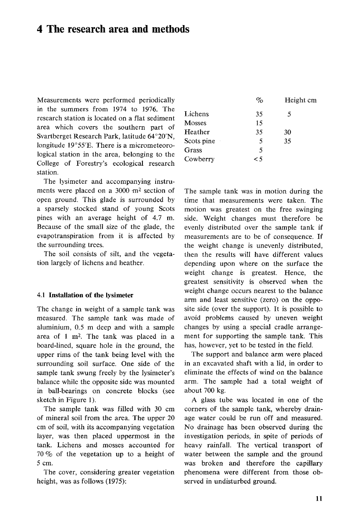### **4 The research area and methods**

Measurements were performed periodically in the summers from *1974* to *1976.* The research station is located on a flat sediment area which covers the southern part of Svartberget Research Park, latitude 64°20'N, longitude 19°55'E. There is a micrometeorological station in the area, belonging to the College of Forestry's ecological research station.

The lysimeter and accompanying instruments were placed on a *3000* .m2 section of open ground. This glade is surrounded by a sparsely stocked stand of young Scots pines with an average height of *4.7* m. Because of the small size of the glade, the evapotranspiration from it is affected by the surrounding trees.

The soil consists of silt, and the vegetation largely of lichens and heather.

#### **4.1 Installation of the lysimeter**

The change in weight of a sample tank was measured. The sample tank was made of aluminium, *0.5* m deep and with a sample area of 1 m2. The tank was placed in a board-lined, square hole in the ground, the upper rims of the tank being level with the surrounding soil surface. One side of the sample tank swung freely by the lysimeter's balance while the opposite side was mounted in ball-bearings on concrete blocks (see sketch in Figure 1).

The sample tank was filled with *30* cm of mineral soil from the area. The upper *20*  cm of soil, with its accompanying vegetation layer, was then placed uppermost in the tank. Lichens and mosses accounted for *70* 70 of the vegetation up to a height of *5* cm.

The cover, considering greater vegetation height, was as follows *(1975):* 

| $\%$ | Height cm |
|------|-----------|
| 35   | 5         |
| 15   |           |
| 35   | 30        |
| 5    | 35        |
| 5    |           |
| <5   |           |
|      |           |

The sample tank was in motion during the time that measurements were taken. The motion was greatest on the free swinging side. Weight changes must therefore be evenly distributed over the sample tank if measurements are to be of consequence. If the weight change is unevenly distributed, then the results will have different values depending upon where on the surface the weight change is greatest. Hence, the greatest sensitivity is observed when the weight change occurs nearest to the balance arm and least sensitive (zero) on the opposite side (over the support). It is possible to avoid problems caused by uneven weight changes by using a special cradle arrangement for supporting the sample tank. This has, however, yet to be tested in the field.

The support and balance arm were placed in an excavated shaft with a lid, in order to eliminate the effects of wind on the balance arm. The sample had a total weight of about *700* kg.

A glass tube was located in one of the corners of the sample tank, whereby drainage water could be run off and measured. No drainage has been observed during the investigation periods, in spite of periods of heavy rainfall. The vertical transport of water between the sample and the ground was broken and therefore the capillary phenomena were different from those observed in undisturbed ground.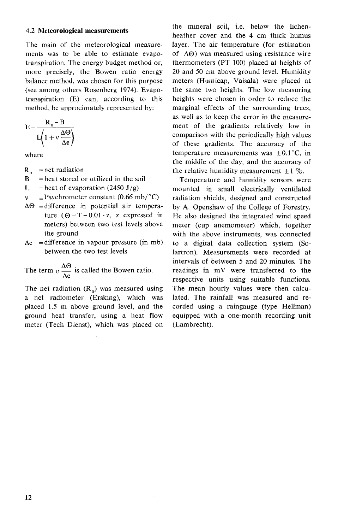#### 4.2 **Meteorological measurements**

The main of the meteorological measurements was to be able to estimate evapotranspiration. The energy budget method or, more precisely, the Bowen ratio energy balance method, was chosen for this purpose (see among others Rosenberg 1974). Evapotranspiration (E) can, according to this method, be approcimately represented by:

$$
E = \frac{R_n - B}{L(1 + v \frac{\Delta \Theta}{\Delta e})}
$$

where

- $R_n$  = net radiation
- $B = heat stored or utilized in the soil$
- L = heat of evaporation (2450 J/g)
- $v =$ Psychrometer constant (0.66 mb/ $^{\circ}$ C)
- $\Delta\Theta$  = difference in potential air temperature  $(\Theta = T - 0.01 \cdot z, z$  expressed in meters) between two test levels above the ground
- $\Delta e$  = difference in vapour pressure (in mb) between the two test levels

between the two test levels<br>The term  $v \frac{\Delta \Theta}{\Delta e}$  is called the Bowen ratio.

The net radiation  $(R_n)$  was measured using a net radiometer (Ersking), which was placed 1.5 m above ground level, and the ground heat transfer, using a heat flow meter (Tech Dienst), which was placed on the mineral soil, i.e. below the lichenheather cover and the 4 cm thick humus layer. The air temperature (for estimation of  $\Delta\Theta$ ) was measured using resistance wire thermometers (PT 100) placed at heights of 20 and 50 cm above ground level. Humidity meters (Humicap, Vaisala) were placed at the same two heights. The low measuring heights were chosen in order to reduce the marginal effects of the surrounding trees, as well as to keep the error in the measurement of the gradients relatively low in comparison with the periodically high values of these gradients. The accuracy of the temperature measurements was  $\pm 0.1$  °C, in the middle of the day, and the accuracy of the relative humidity measurement  $\pm 1\%$ .

Temperature and humidity sensors were mounted in small electrically ventilated radiation shields, designed and constructed by A. Openshaw of the College of Forestry. He also designed the integrated wind speed meter (cup anemometer) which, together with the above instruments, was connected to a digital data collection system (Solartron). Measurements were recorded at intervals of between *5* and 20 minutes. The readings in mV were transferred to the respective units using suitable functions. The mean hourly values were then calculated. The rainfall was measured and recorded using a raingauge (type Hellman) equipped with a one-month recording unit (Lambrecht).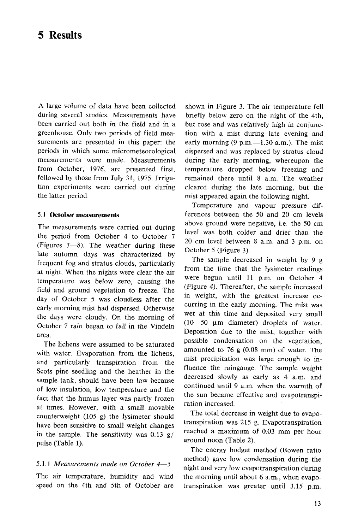### **5 Results**

A large volume of data have been collected during several studies. Measurements have been carried out both in the field and in a greenhouse. Only two periods of field measurements are presented in this paper: the periods in which some micrometeorological measurements were made. Measurements from October, 1976, are presented first, followed by those from July 31, 1975. Irrigation experiments were carried out during the latter period.

#### 5.1 **October measurements**

The measurements were carried out during the period from October 4 to October 7 (Figures  $3-8$ ). The weather during these late autumn days was characterized by frequent fog and stratus clouds, particularly at night. When the nights were clear the air temperature was below zero, causing the field and ground vegetation to freeze. The day of October 5 was cloudless after the early morning mist had dispersed. Otherwise the days were cloudy. On the morning of October 7 rain began to fall in the Vindeln area.

The lichens were assumed to be saturated with water. Evaporation from the lichens, and particularly transpiration from the Scots pine seedling and the heather in the sample tank, should have been low because of low insulation, low temperature and the fact that the humus layer was partly frozen at times. However, with a small movable counterweight (105 g) the lysimeter should have been sensitive to small weight changes in the sample. The sensitivity was  $0.13$  g/ pulse (Table 1).

The air temperature, humidity and wind the morning until about 6 a.m., when evapospeed on the 4th and 5th of October are transpiration was greater until 3.15 p.m.

shown in Figure 3. The air temperature fell briefly below zero on the night of the 4th, but rose and was relatively high in conjunction with a mist during late evening and early morning  $(9 \text{ p.m.} - 1.30 \text{ a.m.})$ . The mist dispersed and was replaced by stratus cloud during the early morning, whereupon the temperature dropped below freezing and remained there until 8 a.m. The weather cleared during the late morning, but the mist appeared again the following night.

Temperature and vapour pressure differences between the 50 and 20 cm levels above ground were negative, i.e. the 50 cm level was both colder and drier than the 20 cm level between 8 a.m. and 3 p.m. on October 5 (Figure 3).

The sample decreased in weight by 9 g from the time that the lysimeter readings were begun until 11 p.m. on October 4 (Figure 4). Thereafter, the sample increased in weight, with the greatest increase occurring in the early morning. The mist was wet at this time and deposited very small ( $10-50$  µm diameter) droplets of water. Deposition due to the mist, together with possible condensation on the vegetation, amounted to 76 g (0.08 mm) of water. The mist precipitation was large enough to influence the raingauge. The sample weight decreased slowly as early as 4 a.m. and continued until 9 a.m. when the warmth of the sun became effective and evapotranspiration increased.

The total decrease in weight due to evapotranspiration was 215 g. Evapotranspiration reached a maximum of 0.03 mm per hour around noon (Table 2).

The energy budget method (Bowen ratio method) gave low condensation during the 5.1.1 *Measurements made on October 4*-5 **one of the late of the conference of the state of the state of the state of the state of the state of the state of the state of the state of the state of the state of the state of**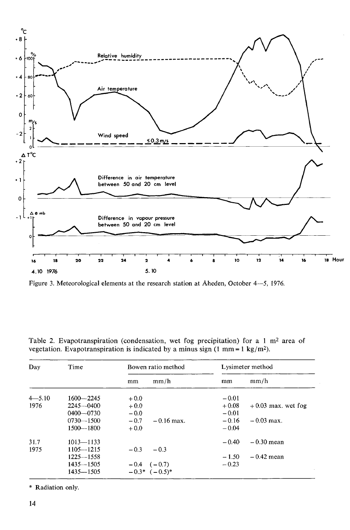

Figure 3. Meteorological elements at the research station at Aheden, October 4-5, 1976.

| Day        | Time          | Bowen ratio method     | Lysimeter method                |
|------------|---------------|------------------------|---------------------------------|
|            |               | mm/h<br>mm             | mm/h<br>mm                      |
| $4 - 5.10$ | $1600 - 2245$ | $+0.0$                 | $-0.01$                         |
| 1976       | $2245 - 0400$ | $+0.0$                 | $+0.08$<br>$+0.03$ max, wet fog |
|            | $0400 - 0730$ | $-0.0$                 | $-0.01$                         |
|            | $0730 - 1500$ | $-0.7$<br>$-0.16$ max. | $-0.16$<br>$-0.03$ max.         |
|            | 1500-1800     | $+0.0$                 | $-0.04$                         |
| 31.7       | $1013 - 1133$ |                        | $-0.40$<br>$-0.30$ mean         |
| 1975       | $1105 - 1215$ | $-0.3$<br>$-0.3$       |                                 |
|            | $1225 - 1558$ |                        | $-0.42$ mean<br>$-1.50$         |
|            | $1435 - 1505$ | $-0.4$ $(-0.7)$        | $-0.23$                         |
|            | $1435 - 1505$ | $-0.3*$ $(-0.5)*$      |                                 |

Table 2. Evapotranspiration (condensation, wet fog precipitation) for a 1 m2 area of vegetation. Evapotranspiration is indicated by a minus sign  $(1 \text{ mm} = 1 \text{ kg/m}^2)$ .

\* Radiation only.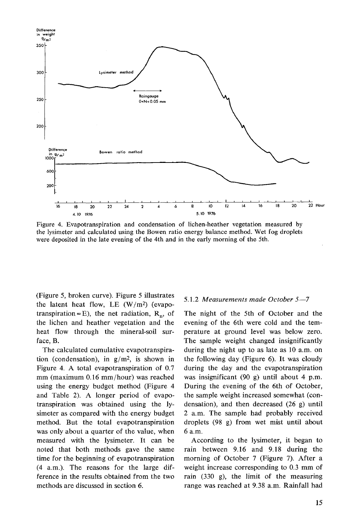

Figure 4. Evapotranspiration and condensation of lichen-heather vegetation measured by the lysimeter and calculated using the Bowen ratio energy balance method. Wet fog droplets were deposited in the late evening of the 4th and in the early morning of the 5th.

(Figure 5, broken curve). Figure 5 illustrates the latent heat flow, LE  $(W/m^2)$  (evapotranspiration=E), the net radiation,  $R_p$ , of the lichen and heather vegetation and the heat flow through the mineral-soil surface, B.

The calculated cumulative evapotranspiration (condensation), in  $g/m^2$ , is shown in Figure 4. A total evapotranspiration of 0.7 mm (maximum 0.16 mm/hour) was reached using the energy budget method (Figure 4 and Table 2). A longer period of evapotranspiration was obtained using the lysimeter as compared with the energy budget method. But the total evapotranspiration was only about a quarter of the value, when measured with the lysimeter. It can be noted that both methods gave the same time for the beginning of evapotranspiration (4 a.m.). The reasons for the large difference in the results obtained from the two methods are discussed in section 6.

#### 5.1.2 *Measurements made October 5-7*

The night of the 5th of October and the evening of the 6th were cold and the temperature at ground level was below zero. The sample weight changed insignificantly during the night up to as late as 10 a.m. on the following day (Figure 6). It was cloudy during the day and the evapotranspiration was insignificant (90 g) until about 4 p.m. During the evening of the 6th of October, the sample weight increased somewhat (condensation), and then decreased (26 g) until 2 a.m. The sample had probably received droplets (98 g) from wet mist until about 6 a.m.

According to the lysimeter, it began to rain between 9.16 and 9.18 during the morning of October 7 (Figure 7). After a weight increase corresponding to 0.3 mm of rain (330 g), the limit of the measuring range was reached at 9.38 a.m. Rainfall had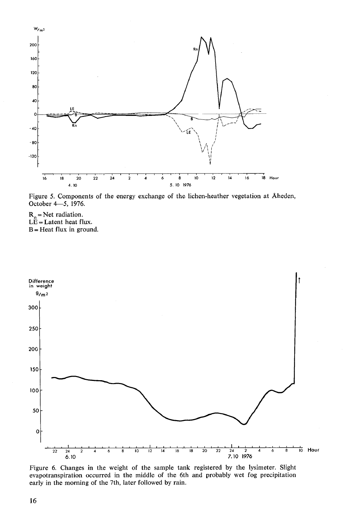

Figure 5. Components of the energy exchange of the lichen-heather vegetation at Aheden, October 4-5, 1976.

 $R_n$  = Net radiation.  $LE = Latent$  heat flux.  $B = Heat flux in ground.$ 



Figure 6. Changes in the weight of the sample tank registered by the lysimeter. Slight evapotranspiration occurred in the middle of the 6th and probably wet fog precipitation early in the morning of the 7th, later followed by rain.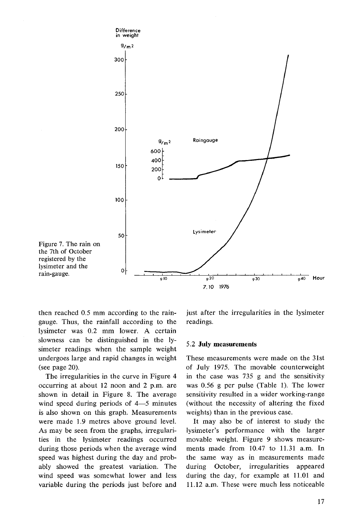

then reached 0.5 mm according to the raingauge. Thus, the rainfall according to the lysimeter was 0.2 mm lower. A certain slowness can be distinguished in the lysimeter readings when the sample weight undergoes large and rapid changes in weight (see page 20).

The irregularities in the curve in Figure 4 occurring at about 12 noon and 2 p.m. are shown in detail in Figure 8. The average wind speed during periods of 4-5 minutes is also shown on this graph. Measurements were made 1.9 metres above ground level. As may be seen from the graphs, irregularities in the lysimder readings occurred during those periods when the average wind speed was highest during the day and probably showed the greatest variation. The wind speed was somewhat lower and less variable during the periods just before and just after the irregularities in the lysimeter readings.

#### *5.2* **July measurements**

These measurements were made on the 31st of July 1975. The movable counterweight in the case was 735 g and the sensitivity was 0.56 g per pulse (Table 1). The lower sensitivity resulted in a wider working-range (without the necessity of altering the fixed weights) than in the previous case.

It may also be of interest to study the lysimeter's performance with the larger movable weight. Figure 9 shows measurements made from 10.47 to 11.31 a.m. In the same way as in measurements made during October, irregularities appeared during the day, for example at 11.01 and 11.12 a.m. These were much less noticeable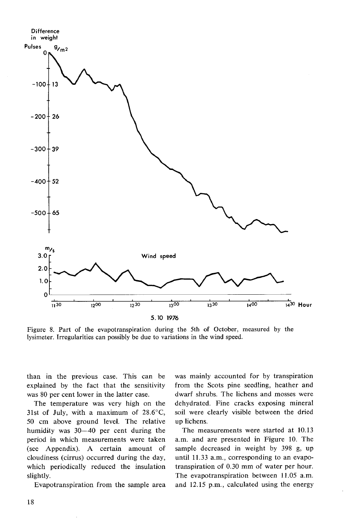

Figure 8. Part of the evapotranspiration during the 5th of October, measured by the lysimeter. Irregularities can possibly be due to variations in the wind speed.

than in the previous case. This can be explained by the fact that the sensitivity was 80 per cent lower in the latter case.

The temperature was very high on the 31st of July, with a maximum of  $28.6^{\circ}$ C, 50 cm above ground level. The relative humidity was  $30-40$  per cent during the period in which measurements were taken (see Appendix). A certain amount of cloudiness (cirrus) occurred during the day, which periodically reduced the insulation slightly.

Evapotranspiration from the sample area

was mainly accounted for by transpiration from the Scots pine seedling, heather and dwarf shrubs. The lichens and mosses were dehydrated. Fine cracks exposing mineral soil were clearly visible between the dried up lichens.

The measurements were started at 10.13 a.m. and are presented in Figure 10. The sample decreased in weight by 398 g, up until 11.33 a.m., corresponding to an evapotranspiration of 0.30 mm of water per hour. The evapotranspiration between 11.05 a.m. and 12.15 p.m., calculated using the energy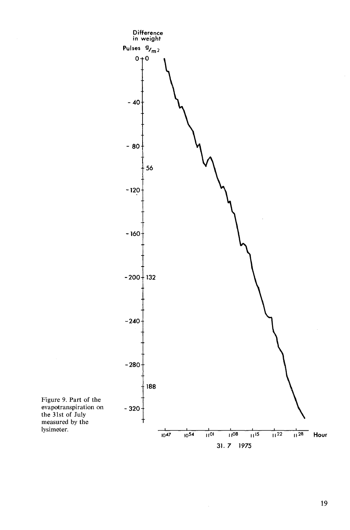

19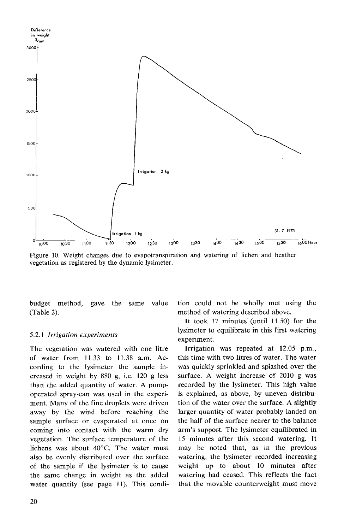

Figure 10. Weight changes due to evapotranspiration and watering of lichen and heather vegetation as registered by the dynamic lysimeter.

budget method, gave the same value (Table 2).

### 5.2.1 *Irrigation experiments*

The vegetation was watered with one litre of water from 11.33 to 11.38 a.m. According to the lysimeter the sample increased in weight by 880 g, i.e. 120 g less than the added quantity of water. A pumpoperated spray-can was used in the experiment. Many of the fine droplets were driven away by the wind before reaching the sample surface or evaporated at once on coming into contact with the warm dry vegetation. The surface temperature of the lichens was about 40°C. The water must also be evenly distributed over the surface of the sample if the lysimeter is to cause the same change in weight as the added water quantity (see page 11). This condition could not be wholly met using the method of watering described above.

It took 17 minutes (until 11.50) for the lysimeter to equilibrate in this first watering experiment.

Irrigation was repeated at 12.05 p.m., this time with two litres of water. The water was quickly sprinkled and splashed over the surface. A weight increase of 2010 g was recorded by the lysimeter. This high value is explained, as above, by uneven distribution of the water over the surface. A slightly larger quantity of water probably landed on the half of the surface nearer to the balance arm's support. The lysimeter equilibrated in 15 minutes after this second watering. It may be noted that, as in the previous watering, the lysimeter recorded increasing weight up to about 10 minutes after watering had ceased. This reflects the fact that the movable counterweight must move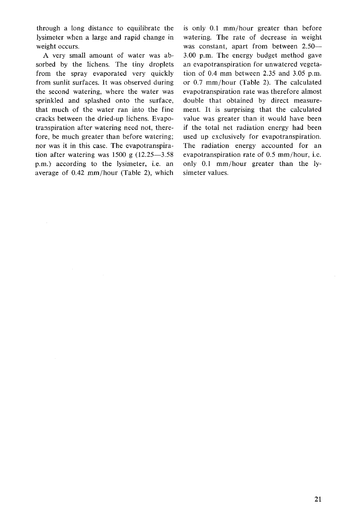through a long distance to equilibrate the lysimeter when a large and rapid change in weight occurs.

A very small amount of water was absorbed by the lichens. The tiny droplets from the spray evaporated very quickly from sunlit surfaces. It was observed during the second watering, where the water was sprinkled and splashed onto the surface, that much of the water ran into the fine cracks between the dried-up lichens. Evapotranspiration after watering need not, therefore, be much greater than before watering; nor was it in this case. The evapotranspiration after watering was  $1500 \text{ g}$   $(12.25-3.58)$ p.m.) according to the lysimeter, i.e. an average of 0.42 mm/hour (Table 2), which

is only 0.1 mm/hour greater than before watering. The rate of decrease in weight was constant, apart from between 2.50-3.00 p.m. The energy budget method gave an evapotranspiration for unwatered vegetation of 0.4 mm between 2.35 and 3.05 p.m. or 0.7 mm/hour (Table 2). The calculated evapotranspiration rate was therefore almost double that obtained by direct measurement. It is surprising that the calculated value was greater than it would have been if the total net radiation energy had been used up exclusively for evapotranspiration. The radiation energy accounted for an evapotranspiration rate of 0.5 mm/hour, i.e. only 0.1 mm/hour greater than the lysimeter values.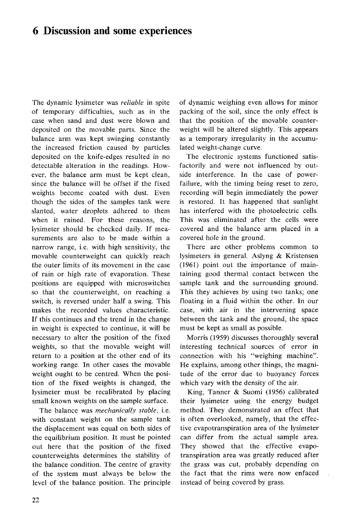### **6 Discussion and some experiences**

The dynamic lysimeter was *reliable* in spite of temporary difficulties, such as in the case when sand and dust were blown and deposited on the movable parts. Since the balance arm was kept swinging constantly the increased friction caused by particles deposited on the knife-edges resulted in no detectable alteration in the readings. However, the balance arm must be kept clean, since the balance will be offset if the fixed weights become coated with dust. Even though the sides of the samples tank were slanted, water droplets adhered to them when it rained. For these reasons, the lysimeter should be checked daily. If measurements are also to be made within a narrow range, i.e. with high sensitivity, the movable counterweight can quickly reach the outer limits of its movement in the case of rain or high rate of evaporation. These positions are equipped with microswitches so that the counterweight, on reaching a switch, is reversed under half a swing. This makes the recorded values characteristic. If this continues and the trend in the change in weight is expected to continue, it will be necessary to alter the position of the fixed weights, so that the movable weight will return to a position at the other end of its working range. In other cases the movable weight ought to be centred. When the position of the fixed weights is changed, the lysimeter must be recalibrated by placing small known weights on the sample surface.

The balance was *mechanically stable,* i.e. with constant weight on the sample tank the displacement was equal on both sides of the equilibrium position. It must be pointed out here that the position of the fixed counterweights determines the stability of the balance condition. The centre of gravity of the system must always be below the level of the balance position. The principle of dynamic weighing even allows for minor packing of the soil, since the only effect is that the position of the movable counterweight will be altered slightly. This appears as a temporary irregularity in the accumulated weight-change curve.

The electronic systems functioned satisfactorily and were not influenced by outside interference. In the case of powerfailure, with the timing being reset to zero, recording will begin immediately the power is restored. It has happened that sunlight has interfered with the photoelectric cells. This was eliminated after the cells were covered and the balance arm placed in a covered hole in the ground.

There are other problems common to lysimeters in general. Aslyng & Kristensen (1961) point out the importance of maintaining good thermal contact between the sample tank and the surrounding ground. This they achieves by using two tanks; one floating in a fluid within the other. In our case, with air in the intervening space between the tank and the ground, the space must be kept as small as possible.

Morris (1959) discusses thoroughly several interesting technical sources of error in connection with his "weighing machine". He explains, among other things, the magnitude of the error due to buoyancy forces which vary with the density of the air.

King, Tanner & Suomi (1956) calibrated their lysimeter using the energy budget method. They demonstrated an effect that is often overlooked, namely, that the effective evapotranspiration area of the lysimeter can differ from the actual sample area. They showed that the effective evapotranspiration area was greatly reduced after the grass was cut, probably depending on the fact that the rims were now enfaced instead of being covered by grass.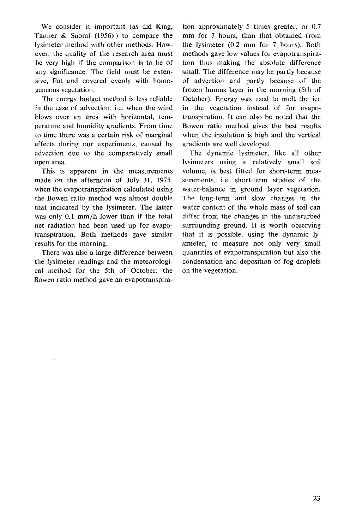We consider it important (as did King, Tanner & Suomi (1956)) to compare the lysimeter method with other methods. However, the quality of the research area must be very high if the comparison is to be of any significance. The field must be extensive, flat and covered evenly with homogeneous vegetation.

The energy budget method is less reliable in the case of advection, i.e. when the wind blows over an area with horizontal, temperature and humidity gradients. From time to time there was a certain risk of marginal effects during our experiments, caused by advection due to the comparatively small open area.

This is apparent in the measurements made on the afternoon of July 31, 1975, when the evapotranspiration calculated using the Bowen ratio method was almost double that indicated by the lysimeter. The latter was only 0.1 mm/h lower than if the total net radiation had been used up for evapotranspiration. Both methods gave similar results for the morning.

There was also a large difference between the lysimeter readings and the meteorological method for the 5th of October: the Bowen ratio method gave an evapotranspiration approximately 5 times greater, or 0.7 mm for 7 hours, than that obtained from the lysimeter (0.2 mm for 7 hours). Both methods gave low values for evapotranspiration thus making the absolute difference small. The difference may be partly because of advection and partly because of the frozen humus layer in the morning (5th of October). Energy was used to melt the ice in the vegetation instead of for evapotranspiration. It can also be noted that the Bowen ratio method gives the best results when the insulation is high and the vertical gradients are well developed.

The dynamic lysimeter, like all other lysimeters using a relatively small soil volume, is best fitted for short-term measurements, i.e. short-term studies of the water-balance in ground layer vegetation. The long-term and slow changes in the water content of the whole mass of soil can differ from the changes in the undisturbed surrounding ground. It is worth observing that it is possible, using the dynamic lysimeter, to measure not only very small quantities of evapotranspiration but also the condensation and deposition of fog droplets on the vegetation.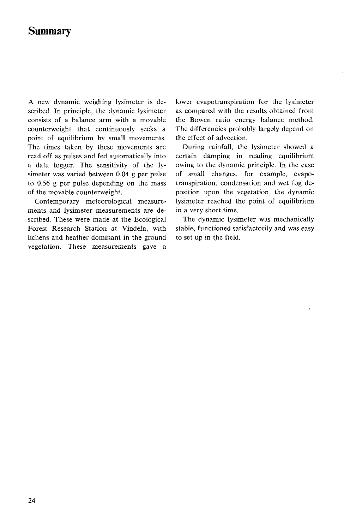## **Summary**

A new dynamic weighing lysimeter is described. In principle, the dynamic lysimeter consists of a balance arm with a movable counterweight that continuously seeks a point of equilibrium by small movements. The times taken by these movements are read off as pulses and fed automatically into a data logger. The sensitivity of the lysimeter was varied between 0.04 g per pulse to 0.56 g per pulse depending on the mass of the movable counterweight.

Contemporary meteorological measurements and lysimeter measurements are described. These were made at the Ecological Forest Research Station at Vindeln, with lichens and heather dominant in the ground vegetation. These measurements gave a lower evapotranspiration for the lysimeter as compared with the results obtained from the Bowen ratio energy balance method. The differencies probably largely depend on the effect of advection.

During rainfall, the lysimeter showed a certain damping in reading equilibrium owing to the dynamic principle. In the case of small changes, for example, evapotranspiration, condensation and wet fog deposition upon the vegetation, the dynamic lysimeter reached the point of equilibrium in a very short time.

The dynamic lysimeter was mechanically stable, functioned satisfactorily and was easy to set up in the field.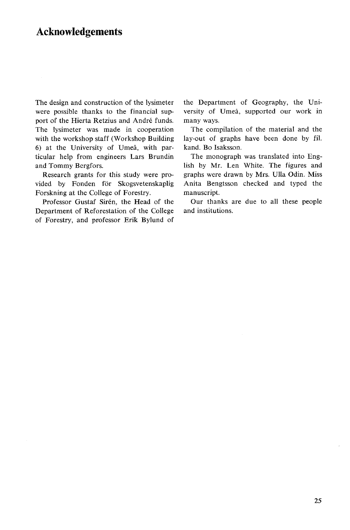### **Acknowledgements**

The design and construction of the lysimeter were possible thanks to the financial support of the Hierta Retzius and André funds. The lysimeter was made in cooperation with the workshop staff (Workshop Building 6) at the University of Umeå, with particular help from engineers Lars Brundin and Tommy Bergfors.

Research grants for this study were provided by Fonden för Skogsvetenskaplig Forskning at the College of Forestry.

Professor Gustaf Sirén, the Head of the Department of Reforestation of the College of Forestry, and professor Erik Bylund of the Department of Geography, the University of Umeå, supported our work in many ways.

The compilation of the material and the lay-out of graphs have been done by fil. kand. Bo Isaksson.

The monograph was translated into English by Mr. Len White. The figures and graphs were drawn by Mrs. UUa Odin. Miss Anita Bengtsson checked and typed the manuscript.

Our thanks are due to all these people and institutions.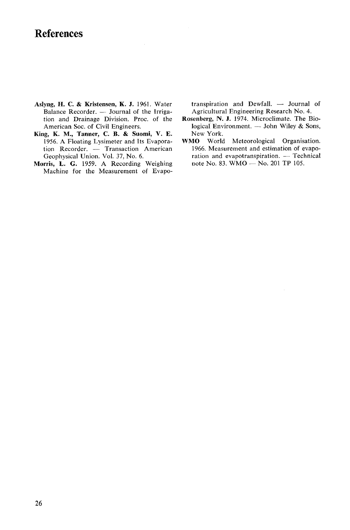### **References**

- Aslyng, H. C. & Kristensen, K. J. 1961. Water Balance Recorder.  $-$  Journal of the Irrigation and Drainage Division. Proc. of the American Soc. of Civil Engineers.
- King, K. M., Tanner, C. B. & Suomi, V. E. 1956. A Floating Lysimeter and Its Evaporation Recorder. - Transaction American Geophysical Union. Vol. 37, No. 6.
- Morris, L. **G.** 1959. **A** Recording Weighing Machine for the Measurement of Evapo-

transpiration and Dewfall.  $-$  Journal of Agricultural Engineering Research No. 4.

- Rosenberg, N. J. 1974. Microclimate. The Biological Environment.  $-$  John Wiley & Sons, New York.
- WMO World Meteorological Organisation. 1966. Measurement and estimation of evapo-**10** World Meteorological Organisation.<br>1966. Measurement and estimation of evapotranspiration. -- Technical<br>mate and evapotranspiration. -- Technical 1966. Measurement and estimation of evapotranspiration. — Tech<br>ration and evapotranspiration. — Tech<br>note No. 83. WMO — No. 201 TP 105.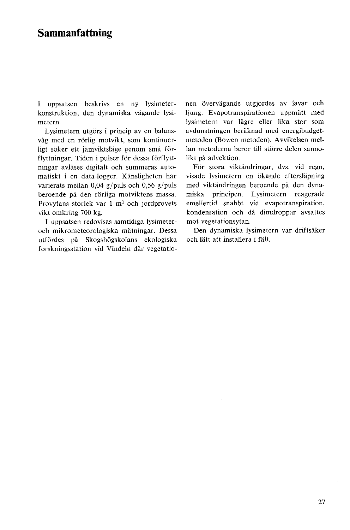### **Sammanfattning**

I uppsatsen beskrivs en ny lysimeterkonstruktion, den dynamiska vägande lysimetern.

Lysimetern utgörs i princip av en balansvåg med en rörlig motvikt, som kontinuerligt söker ett jämviktsläge genom små förflyttningar. Tiden i pulser för dessa förflyttningar avlases digitalt och summeras automatiskt i en data-logger. Kansligheten har varierats mellan 0,04 g/puls och 0,56 g/puls beroende på den rörliga motviktens massa. Provytans storlek var 1 m2 och jordprovets vikt omkring 700 kg.

I uppsatsen redovisas samtidiga lysimeteroch mikrometeorologiska matningar. Dessa utfördes på Skogshögskolans ekologiska forskningsstation vid Vindeln dar vegetationen övervägande utgjordes av lavar och ljung. Evapotranspirationen uppmatt med lysimetern var lägre eller lika stor som avdunstningen beraknad med energibudgetmetoden (Bowen metoden). Avvikelsen mellan metoderna beror till större delen sannolikt på advektion.

För stora viktändringar, dvs. vid regn, visade lysimetern en ökande eftersläpning med viktändringen beroende på den dynamiska principen. Lysimetern reagerade emellertid snabbt vid evapotranspiration, kondensation och då dimdroppar avsattes mot vegetationsytan.

Den dynamiska lysimetern var driftsäker och Iatt att installera i falt.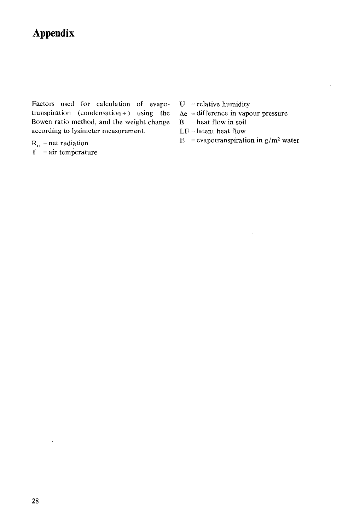# **Appendix**

Factors used for calculation of evapo-  $U =$  relative humidity transpiration (condensation +) using the  $\Delta e$  = difference in vapour pressure Bowen ratio method, and the weight change  $B =$  heat flow in soil according to lysimeter measurement. LE = latent heat flow

 $R_n$  = net radiation<br>T = air temperature

- 
- 
- 
- 
- $E = evaporation in g/m<sup>2</sup> water$